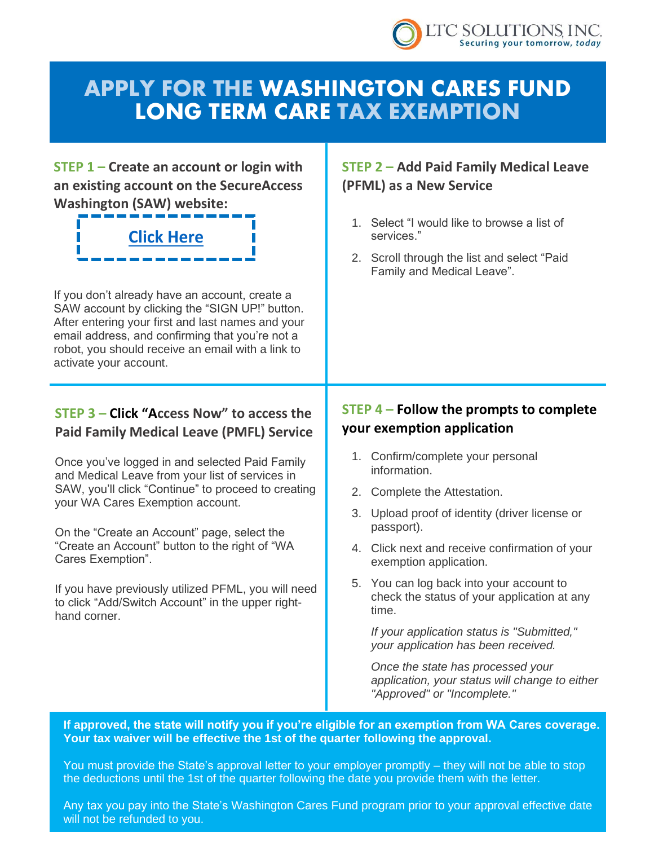

# APPLY FOR THE WASHINGTON CARES FUND LONG TERM CARE TAX EXEMPTION

**STEP 1 – Create an account or login with an existing account on the SecureAccess Washington (SAW) website:** 

# **[Click Here](https://secureaccess.wa.gov/myAccess/saw/select.do)**

If you don't already have an account, create a SAW account by clicking the "SIGN UP!" button. After entering your first and last names and your email address, and confirming that you're not a robot, you should receive an email with a link to activate your account.

## **STEP 3 – Click "Access Now" to access the Paid Family Medical Leave (PMFL) Service**

Once you've logged in and selected Paid Family and Medical Leave from your list of services in SAW, you'll click "Continue" to proceed to creating your WA Cares Exemption account.

On the "Create an Account" page, select the "Create an Account" button to the right of "WA Cares Exemption".

If you have previously utilized PFML, you will need to click "Add/Switch Account" in the upper righthand corner.

# **STEP 2 – Add Paid Family Medical Leave (PFML) as a New Service**

- 1. Select "I would like to browse a list of services."
- 2. Scroll through the list and select "Paid Family and Medical Leave".

## **STEP 4 – Follow the prompts to complete your exemption application**

- 1. Confirm/complete your personal information.
- 2. Complete the Attestation.
- 3. Upload proof of identity (driver license or passport).
- 4. Click next and receive confirmation of your exemption application.
- 5. You can log back into your account to check the status of your application at any time.

*If your application status is "Submitted," your application has been received.*

*Once the state has processed your application, your status will change to either "Approved" or "Incomplete."*

**If approved, the state will notify you if you're eligible for an exemption from WA Cares coverage. Your tax waiver will be effective the 1st of the quarter following the approval.**

You must provide the State's approval letter to your employer promptly – they will not be able to stop the deductions until the 1st of the quarter following the date you provide them with the letter.

Any tax you pay into the State's Washington Cares Fund program prior to your approval effective date will not be refunded to you.